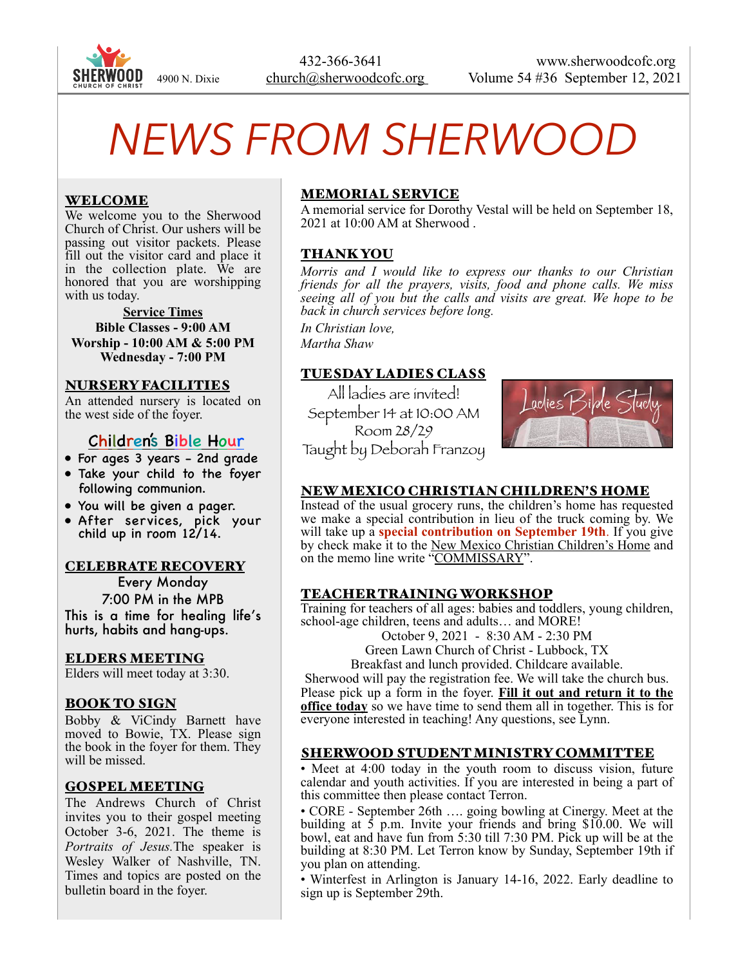

# *NEWS FROM SHERWOOD*

## WELCOME

We welcome you to the Sherwood Church of Christ. Our ushers will be passing out visitor packets. Please fill out the visitor card and place it in the collection plate. We are honored that you are worshipping with us today.

**Service Times Bible Classes - 9:00 AM Worship - 10:00 AM & 5:00 PM Wednesday - 7:00 PM** 

#### NURSERY FACILITIES

An attended nursery is located on the west side of the foyer.

## Children's Bible Hour

- For ages 3 years 2nd grade
- Take your child to the foyer following communion.
- You will be given a pager.
- After services, pick your child up in room 12/14.

#### CELEBRATE RECOVERY

Every Monday 7:00 PM in the MPB This is a time for healing life's hurts, habits and hang-ups.

#### ELDERS MEETING

Elders will meet today at 3:30.

#### BOOK TO SIGN

Bobby & ViCindy Barnett have moved to Bowie, TX. Please sign the book in the foyer for them. They will be missed.

#### GOSPEL MEETING

The Andrews Church of Christ invites you to their gospel meeting October 3-6, 2021. The theme is *Portraits of Jesus.*The speaker is Wesley Walker of Nashville, TN. Times and topics are posted on the bulletin board in the foyer.

## MEMORIAL SERVICE

A memorial service for Dorothy Vestal will be held on September 18, 2021 at 10:00 AM at Sherwood .

#### THANK YOU

*Morris and I would like to express our thanks to our Christian friends for all the prayers, visits, food and phone calls. We miss seeing all of you but the calls and visits are great. We hope to be back in church services before long.* 

*In Christian love, Martha Shaw*

## TUESDAY LADIES CLASS

All ladies are invited! September 14 at 10:00 AM Room 28/29 Taught by Deborah Franzoy



#### NEW MEXICO CHRISTIAN CHILDREN'S HOME

Instead of the usual grocery runs, the children's home has requested we make a special contribution in lieu of the truck coming by. We will take up a **special contribution on September 19th**. If you give by check make it to the New Mexico Christian Children's Home and on the memo line write "COMMISSARY".

#### TEACHER TRAINING WORKSHOP

Training for teachers of all ages: babies and toddlers, young children, school-age children, teens and adults… and MORE!

October 9, 2021 - 8:30 AM - 2:30 PM

Green Lawn Church of Christ - Lubbock, TX

Breakfast and lunch provided. Childcare available.

Sherwood will pay the registration fee. We will take the church bus. Please pick up a form in the foyer. **Fill it out and return it to the office today** so we have time to send them all in together. This is for everyone interested in teaching! Any questions, see Lynn.

#### SHERWOOD STUDENT MINISTRY COMMITTEE

• Meet at 4:00 today in the youth room to discuss vision, future calendar and youth activities. If you are interested in being a part of this committee then please contact Terron.

• CORE - September 26th …. going bowling at Cinergy. Meet at the building at 5 p.m. Invite your friends and bring \$10.00. We will bowl, eat and have fun from 5:30 till 7:30 PM. Pick up will be at the building at 8:30 PM. Let Terron know by Sunday, September 19th if you plan on attending.

• Winterfest in Arlington is January 14-16, 2022. Early deadline to sign up is September 29th.